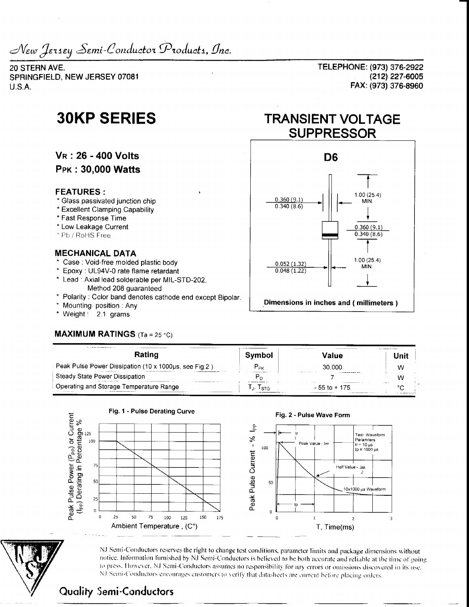New Jersey Semi-Conductor Products, Inc.

20 STERN AVE. SPRINGFIELD, NEW JERSEY 07081  $U.S.A.$ 

# **30KP SERIES**

**VR: 26 - 400 Volts** 

**PPK: 30,000 Watts** 

### **FEATURES:**

- \* Glass passivated junction chip
- \* Excellent Clamping Capability
- \* Fast Response Time
- \* Low Leakage Current
- \* Pb / RoHS Free

#### **MECHANICAL DATA**

- \* Case : Void-free molded plastic body
- \* Epoxy : UL94V-0 rate flame retardant
- \* Lead: Axial lead solderable per MIL-STD-202. Method 208 quaranteed
- \* Polarity: Color band denotes cathode end except Bipolar.
- \* Mounting position : Any
- \* Weight: 2.1 grams

## **MAXIMUM RATINGS**  $(T_a = 25 \degree C)$

TELEPHONE: (973) 376-2922 (212) 227-6005 FAX: (973) 376-8960

# **TRANSIENT VOLTAGE SUPPRESSOR**



| ------------------<br>Rating                          | Svmbol                      | <b>/alue</b>  |                 |
|-------------------------------------------------------|-----------------------------|---------------|-----------------|
| Peak Pulse Power Dissipation (10 x 1000us, see Fig.2) | $P_{\text{p}_{\mathsf{K}}}$ | 30.000        | w               |
| Steady State Power Dissipation                        |                             |               |                 |
| Operating and Storage Temperature Range               | STG.                        | - 55 to + 175 | $^{\circ}$<br>. |



NJ Semi-Conductors reserves the right to change test conditions, parameter limits and package dimensions without notice. Information furnished by NJ Semi-Conductors is believed to be both accurate and reliable at the time of going to press. However, NJ Semi-Conductors assumes no responsibility for any errors or omissions discovered in its use. NJ Semi-Conductors encourages customers to verify that datasheets are current before placing orders.

## **Quality Semi-Conductors**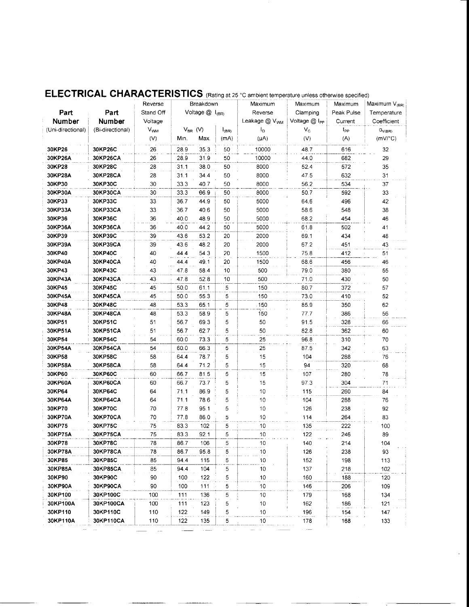|                   |                  |                       |                        |              |                           | <b>ELECTRICAL CHARACTERISTICS</b> (Rating at 25 °C ambient temperature unless otherwise specified) |             |                           |                  |
|-------------------|------------------|-----------------------|------------------------|--------------|---------------------------|----------------------------------------------------------------------------------------------------|-------------|---------------------------|------------------|
|                   |                  | Reverse               | Breakdown              |              | Maximum                   | Maximum                                                                                            | Maximum     | Maximum V <sub>(BR)</sub> |                  |
| Part              | Part             | Stand Off             | Voltage $@$ $ _{(BR)}$ |              | Reverse                   | Clamping                                                                                           | Peak Pulse  | Temperature               |                  |
| <b>Number</b>     | Number           | Voltage               |                        |              | Leakage @ V <sub>WM</sub> | Voltage @ I <sub>PP</sub>                                                                          | Current     | Coefficient               |                  |
| (Uni-directional) | (Bi-directional) | <b>V<sub>WM</sub></b> |                        | $V_{BR}$ (V) | $I_{(BR)}$                | I <sub>D</sub>                                                                                     | $V_{\rm C}$ | Ipp                       | $\alpha_{V(BR)}$ |
|                   |                  | (V)                   | Min.                   | Max.         | (mA)                      | $(\mu A)$                                                                                          | (V)         | (A)                       | $(mV)^{\circ}C)$ |
| 30KP26            | 30KP26C          | 26                    | 28.9                   | 35.3         | 50                        | 10000                                                                                              | 48.7        | 616                       | 32               |
| 30KP26A           | 30KP26CA         | 26                    | 28.9                   | 31.9         | 50                        | 10000                                                                                              | 44.0        | 682                       | 29               |
| 30KP28            | 30KP28C          | 28                    | 31.1                   | 38.0         | 50                        | 8000                                                                                               | 52.4        | 572                       | 35               |
| 30KP28A           | 30KP28CA         | 28                    | 31.1                   | 34.4         | 50                        | 8000                                                                                               | 47.5        | 632                       | 31               |
| 30KP30            | 30KP30C          | 30                    | 33.3                   | 40.7         | 50                        | 8000                                                                                               | 56.2        | 534                       | 37               |
| 30KP30A           | 30KP30CA         | 30                    | 33.3                   | 66.9         | 50                        | 8000                                                                                               | 50.7        | 592                       | 33               |
| 30KP33            | 30KP33C          | 33                    | 36.7                   | 44.9         | 50                        | 5000                                                                                               | 64.6        | 496                       | 42               |
| 30KP33A           | 30KP33CA         | 33                    | 36.7                   | 40.6         | 50                        | 5000                                                                                               | 58.6        | 548                       | 38               |
| 30KP36            | 30KP36C          | 36                    | 40.0                   | 48.9         | 50                        | 5000                                                                                               | 68.2        | 454                       | 46               |
| 30KP36A           | 30KP36CA         | 36                    | 40.0                   | 44.2         | 50                        | 5000                                                                                               | 61.8        | 502                       | 41               |
| 30KP39            | 30KP39C          | 39                    | 43.6                   | 53.2         | 20                        | 2000                                                                                               | 69.1        | 434                       | 48               |
| 30KP39A           | 30KP39CA         | 39                    | 43.6                   | 48.2         | 20                        | 2000                                                                                               | 67.2        | 451                       | 43               |
| 30KP40            | 30KP40C          | 40                    | 44.4                   | 54.3         | 20                        | 1500                                                                                               | 75.8        | 412                       | 51               |
| 30KP40A           | 30KP40CA         | 40                    | 44.4                   | 49.1         | 20                        | 1500                                                                                               | 68.6        | 456                       | 46               |
| 30KP43            | 30KP43C          | 43                    | 47.8                   | 58.4         | 10                        | 500                                                                                                | 79.0        | 380                       | 55               |
| 30KP43A           | 30KP43CA         | 43                    | 47.8                   | 52.8         | 10                        | 500                                                                                                | 71.0        | 430                       | 50               |
| 30KP45            | 30KP45C          | 45                    | 50.0                   | 61.1         | 5                         | 150                                                                                                | 80.7        | 372                       | 57               |
| 30KP45A           | <b>30KP45CA</b>  | 45                    | 50.0                   | 55.3         | 5                         | 150                                                                                                | 73.0        | 410                       | 52               |
| 30KP48            | 30KP48C          | 48                    | 53.3                   | 65.1         | 5                         | 150                                                                                                | 85.9        | 350                       | 62               |
| 30KP48A           | 30KP48CA         | 48                    | 53.3                   | 58.9         | 5                         | 150                                                                                                | 77.7        | 386                       | 56               |
| 30KP51            | 30KP51C          | 51                    | 56.7                   | 69.3         | 5                         | 50                                                                                                 | 91.5        | 328                       | 66               |
| 30KP51A           | <b>30KP51CA</b>  | 51                    | 56.7                   | 62.7         | 5                         | 50                                                                                                 | 82.8        | 362                       | 60               |
| 30KP54            | 30KP54C          | 54                    | 60.0                   | 73.3         | 5                         | 25                                                                                                 | 96.8        | 310                       | 70               |
| 30KP54A           | 30KP54CA         | 54                    | 60.0                   | 66.3         | 5                         | 25                                                                                                 | 87.5        | 342                       | 63               |
| 30KP58            | 30KP58C          | 58                    | 64.4                   | 78.7         | 5                         | 15                                                                                                 | 104         | 288                       | 76               |
| 30KP58A           | 30KP58CA         | 58                    | 64.4                   | 71.2         | 5                         | 15                                                                                                 | 94          | 320                       | 68               |
| 30KP60            | <b>30KP60C</b>   | 60                    | 66.7                   | 81.5         | 5                         | 15                                                                                                 | 107         | 280                       | 78               |
| 30KP60A           | 30KP60CA         | 60                    | 66.7                   | 73.7         | 5                         | 15                                                                                                 | 97.3        | 304                       | 71               |
| 30KP64            | 30KP64C          | 64                    | 71.1                   | 86.9         | 5                         | 10                                                                                                 | 115         | 260                       | 84               |
| 30KP64A           | 30KP64CA         | 64                    | 71.1                   | 78.6         | 5                         | 10                                                                                                 | 104         | 288                       | 76               |
| 30KP70            | 30KP70C          | 70                    | 77.8                   | 95.1         | 5                         | 10                                                                                                 | 126         | 238                       | 92               |
| 30KP70A           | <b>30KP70CA</b>  | 70                    | 77.8                   | 86.0         | 5                         | 10                                                                                                 | 114         | 264                       | 83               |
| 30KP75            | 30KP75C          | 75                    | 83.3                   | 102          | 5                         | 10                                                                                                 | 135         | 222                       | 100              |
| 30KP75A           | 30KP75CA         | 75                    | 83.3                   | 92.1         | 5                         | 10                                                                                                 | 122         | 246                       | 89               |
| 30KP78            | 30KP78C          | 78                    | 86.7                   | 106          | 5                         | 10                                                                                                 | 140         | 214                       | 104              |
| 30KP78A           | 30KP78CA         | 78                    | 86.7                   | 95.8         | 5                         | 10                                                                                                 | 126         | 238                       | 93               |
| 30KP85            | <b>30KP85C</b>   | 85                    | 94.4                   | 115          | 5                         | 10                                                                                                 | 152         | 198                       | 113              |
| 30KP85A           | <b>30KP85CA</b>  | 85                    | 94.4                   | 104          | 5                         | 10                                                                                                 | 137         | 218                       | 102              |
| 30KP90            | 30KP90C          | 90                    | 100                    | 122          | 5                         | 10                                                                                                 | 160         | 188                       | 120              |
| 30KP90A           | 30KP90CA         | 90                    | 100                    | 111          | 5                         | 10                                                                                                 | 146         | 206                       | 109              |
| 30KP100           | 30KP100C         | 100                   | 111                    | 136          | 5                         | 10                                                                                                 | 179         | 168                       | 134              |
| 30KP100A          | 30KP100CA        | 100                   | 111                    | 123          | 5                         | 10                                                                                                 | 162         | 186                       | 121              |
| 30KP110           | 30KP110C         | 110                   | 122                    | 149          | 5                         | 10                                                                                                 | 196         | 154                       | 147              |
| 30KP110A          | 30KP110CA        | 110                   | 122                    | 135          | 5.                        | 10                                                                                                 | 178         | 168                       | 133              |